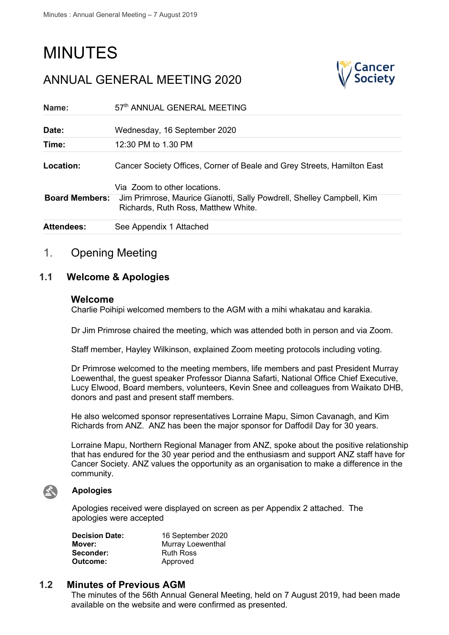# MINUTES

ANNUAL GENERAL MEETING 2020

| Name:                 | 57th ANNUAL GENERAL MEETING                                                                                                                  |
|-----------------------|----------------------------------------------------------------------------------------------------------------------------------------------|
| Date:                 | Wednesday, 16 September 2020                                                                                                                 |
| Time:                 | 12:30 PM to 1.30 PM                                                                                                                          |
| Location:             | Cancer Society Offices, Corner of Beale and Grey Streets, Hamilton East                                                                      |
| <b>Board Members:</b> | Via Zoom to other locations.<br>Jim Primrose, Maurice Gianotti, Sally Powdrell, Shelley Campbell, Kim<br>Richards, Ruth Ross, Matthew White. |
| <b>Attendees:</b>     | See Appendix 1 Attached                                                                                                                      |

# 1. Opening Meeting

### **1.1 Welcome & Apologies**

#### **Welcome**

Charlie Poihipi welcomed members to the AGM with a mihi whakatau and karakia.

Dr Jim Primrose chaired the meeting, which was attended both in person and via Zoom.

Staff member, Hayley Wilkinson, explained Zoom meeting protocols including voting.

Dr Primrose welcomed to the meeting members, life members and past President Murray Loewenthal, the guest speaker Professor Dianna Safarti, National Office Chief Executive, Lucy Elwood, Board members, volunteers, Kevin Snee and colleagues from Waikato DHB, donors and past and present staff members.

He also welcomed sponsor representatives Lorraine Mapu, Simon Cavanagh, and Kim Richards from ANZ. ANZ has been the major sponsor for Daffodil Day for 30 years.

Lorraine Mapu, Northern Regional Manager from ANZ, spoke about the positive relationship that has endured for the 30 year period and the enthusiasm and support ANZ staff have for Cancer Society. ANZ values the opportunity as an organisation to make a difference in the community.



#### **Apologies**

Apologies received were displayed on screen as per Appendix 2 attached. The apologies were accepted

| <b>Decision Date:</b> | 16 September 2020 |
|-----------------------|-------------------|
| Mover:                | Murray Loewenthal |
| Seconder:             | <b>Ruth Ross</b>  |
| Outcome:              | Approved          |

#### **1.2 Minutes of Previous AGM**

The minutes of the 56th Annual General Meeting, held on 7 August 2019, had been made available on the website and were confirmed as presented.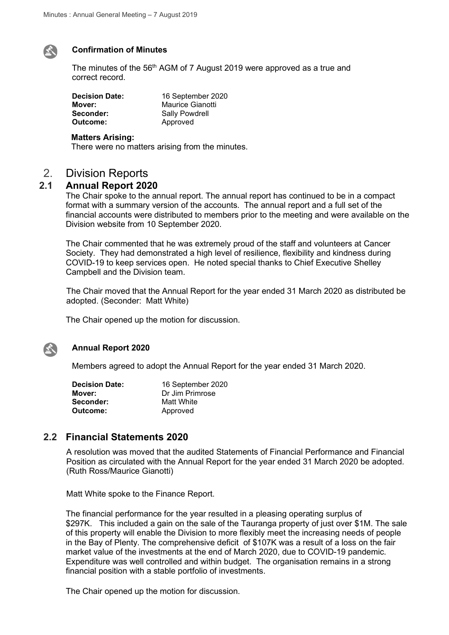

#### **Confirmation of Minutes**

The minutes of the 56<sup>th</sup> AGM of 7 August 2019 were approved as a true and correct record.

| <b>Decision Date:</b> | 16 September 2020     |
|-----------------------|-----------------------|
| Mover:                | Maurice Gianotti      |
| Seconder:             | <b>Sally Powdrell</b> |
| Outcome:              | Approved              |

#### **Matters Arising:**

There were no matters arising from the minutes.

# 2. Division Reports<br>2.1 Annual Report 202

#### **2.1 Annual Report 2020**

The Chair spoke to the annual report. The annual report has continued to be in a compact format with a summary version of the accounts. The annual report and a full set of the financial accounts were distributed to members prior to the meeting and were available on the Division website from 10 September 2020.

The Chair commented that he was extremely proud of the staff and volunteers at Cancer Society. They had demonstrated a high level of resilience, flexibility and kindness during COVID-19 to keep services open. He noted special thanks to Chief Executive Shelley Campbell and the Division team.

The Chair moved that the Annual Report for the year ended 31 March 2020 as distributed be adopted. (Seconder: Matt White)

The Chair opened up the motion for discussion.



#### **Annual Report 2020**

Members agreed to adopt the Annual Report for the year ended 31 March 2020.

| <b>Decision Date:</b> | 16 September 2020 |
|-----------------------|-------------------|
| Mover:                | Dr Jim Primrose   |
| Seconder:             | Matt White        |
| Outcome:              | Approved          |

#### **2.2 Financial Statements 2020**

A resolution was moved that the audited Statements of Financial Performance and Financial Position as circulated with the Annual Report for the year ended 31 March 2020 be adopted. (Ruth Ross/Maurice Gianotti)

Matt White spoke to the Finance Report.

The financial performance for the year resulted in a pleasing operating surplus of \$297K. This included a gain on the sale of the Tauranga property of just over \$1M. The sale of this property will enable the Division to more flexibly meet the increasing needs of people in the Bay of Plenty. The comprehensive deficit of \$107K was a result of a loss on the fair market value of the investments at the end of March 2020, due to COVID-19 pandemic. Expenditure was well controlled and within budget. The organisation remains in a strong financial position with a stable portfolio of investments.

The Chair opened up the motion for discussion.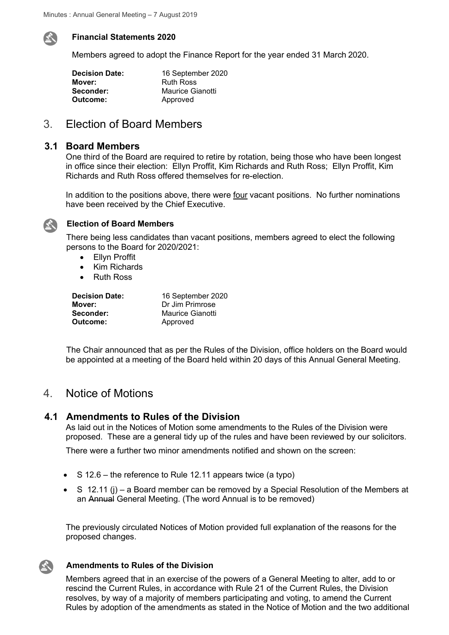

#### **Financial Statements 2020**

Members agreed to adopt the Finance Report for the year ended 31 March 2020.

| 16 September 2020 |
|-------------------|
| <b>Ruth Ross</b>  |
| Maurice Gianotti  |
| Approved          |
|                   |

# 3. Election of Board Members

#### **3.1 Board Members**

One third of the Board are required to retire by rotation, being those who have been longest in office since their election: Ellyn Proffit, Kim Richards and Ruth Ross; Ellyn Proffit, Kim Richards and Ruth Ross offered themselves for re-election.

In addition to the positions above, there were four vacant positions. No further nominations have been received by the Chief Executive.



#### **Election of Board Members**

There being less candidates than vacant positions, members agreed to elect the following persons to the Board for 2020/2021:

- Ellyn Proffit
- Kim Richards
- Ruth Ross

| <b>Decision Date:</b> | 16 September 2020 |
|-----------------------|-------------------|
| Mover:                | Dr Jim Primrose   |
| Seconder:             | Maurice Gianotti  |
| Outcome:              | Approved          |

The Chair announced that as per the Rules of the Division, office holders on the Board would be appointed at a meeting of the Board held within 20 days of this Annual General Meeting.

# 4. Notice of Motions

#### **4.1 Amendments to Rules of the Division**

As laid out in the Notices of Motion some amendments to the Rules of the Division were proposed. These are a general tidy up of the rules and have been reviewed by our solicitors.

There were a further two minor amendments notified and shown on the screen:

- S 12.6 the reference to Rule 12.11 appears twice (a typo)
- S 12.11 (j) a Board member can be removed by a Special Resolution of the Members at an Annual General Meeting. (The word Annual is to be removed)

The previously circulated Notices of Motion provided full explanation of the reasons for the proposed changes.

#### **Amendments to Rules of the Division**

Members agreed that in an exercise of the powers of a General Meeting to alter, add to or rescind the Current Rules, in accordance with Rule 21 of the Current Rules, the Division resolves, by way of a majority of members participating and voting, to amend the Current Rules by adoption of the amendments as stated in the Notice of Motion and the two additional

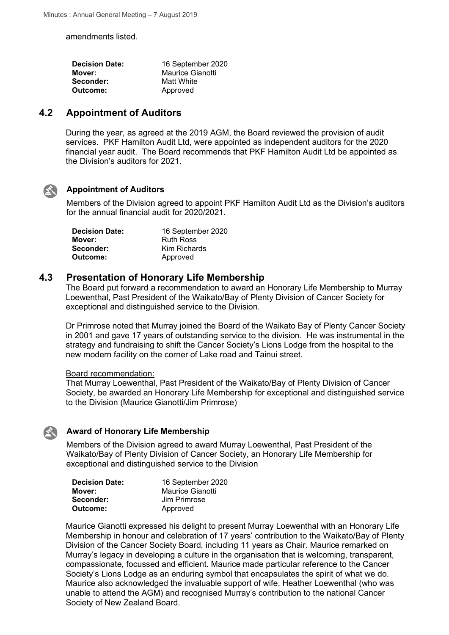amendments listed.

| 16 September 2020 |
|-------------------|
| Maurice Gianotti  |
| Matt White        |
| Approved          |
|                   |

### **4.2 Appointment of Auditors**

During the year, as agreed at the 2019 AGM, the Board reviewed the provision of audit services. PKF Hamilton Audit Ltd, were appointed as independent auditors for the 2020 financial year audit. The Board recommends that PKF Hamilton Audit Ltd be appointed as the Division's auditors for 2021.



#### **Appointment of Auditors**

Members of the Division agreed to appoint PKF Hamilton Audit Ltd as the Division's auditors for the annual financial audit for 2020/2021.

| <b>Decision Date:</b> | 16 September 2020 |
|-----------------------|-------------------|
| Mover:                | <b>Ruth Ross</b>  |
| Seconder:             | Kim Richards      |
| Outcome:              | Approved          |

#### **4.3 Presentation of Honorary Life Membership**

The Board put forward a recommendation to award an Honorary Life Membership to Murray Loewenthal, Past President of the Waikato/Bay of Plenty Division of Cancer Society for exceptional and distinguished service to the Division.

Dr Primrose noted that Murray joined the Board of the Waikato Bay of Plenty Cancer Society in 2001 and gave 17 years of outstanding service to the division. He was instrumental in the strategy and fundraising to shift the Cancer Society's Lions Lodge from the hospital to the new modern facility on the corner of Lake road and Tainui street.

#### Board recommendation:

That Murray Loewenthal, Past President of the Waikato/Bay of Plenty Division of Cancer Society, be awarded an Honorary Life Membership for exceptional and distinguished service to the Division (Maurice Gianotti/Jim Primrose)

#### **Award of Honorary Life Membership**

Members of the Division agreed to award Murray Loewenthal, Past President of the Waikato/Bay of Plenty Division of Cancer Society, an Honorary Life Membership for exceptional and distinguished service to the Division

| <b>Decision Date:</b> | 16 September 2020 |
|-----------------------|-------------------|
| Mover:                | Maurice Gianotti  |
| Seconder:             | Jim Primrose      |
| Outcome:              | Approved          |

Maurice Gianotti expressed his delight to present Murray Loewenthal with an Honorary Life Membership in honour and celebration of 17 years' contribution to the Waikato/Bay of Plenty Division of the Cancer Society Board, including 11 years as Chair. Maurice remarked on Murray's legacy in developing a culture in the organisation that is welcoming, transparent, compassionate, focussed and efficient. Maurice made particular reference to the Cancer Society's Lions Lodge as an enduring symbol that encapsulates the spirit of what we do. Maurice also acknowledged the invaluable support of wife, Heather Loewenthal (who was unable to attend the AGM) and recognised Murray's contribution to the national Cancer Society of New Zealand Board.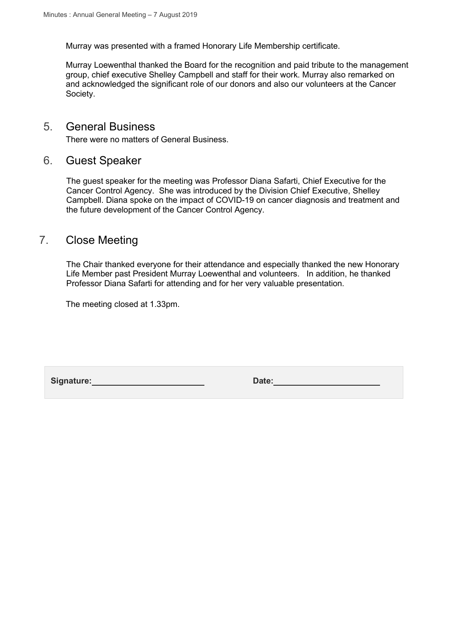Murray was presented with a framed Honorary Life Membership certificate.

Murray Loewenthal thanked the Board for the recognition and paid tribute to the management group, chief executive Shelley Campbell and staff for their work. Murray also remarked on and acknowledged the significant role of our donors and also our volunteers at the Cancer Society.

## 5. General Business

There were no matters of General Business.

# 6. Guest Speaker

The guest speaker for the meeting was Professor Diana Safarti, Chief Executive for the Cancer Control Agency. She was introduced by the Division Chief Executive, Shelley Campbell. Diana spoke on the impact of COVID-19 on cancer diagnosis and treatment and the future development of the Cancer Control Agency.

# 7. Close Meeting

The Chair thanked everyone for their attendance and especially thanked the new Honorary Life Member past President Murray Loewenthal and volunteers. In addition, he thanked Professor Diana Safarti for attending and for her very valuable presentation.

The meeting closed at 1.33pm.

Signature: Date: Date: Date: Date: Date: Date: Date: Date: Date: Date: Date: Date: Date: Date: Date: Date: Date: Date: Date: Date: Date: Date: Date: Date: Date: Date: Date: Date: Date: Date: Date: Date: Date: Date: Date: D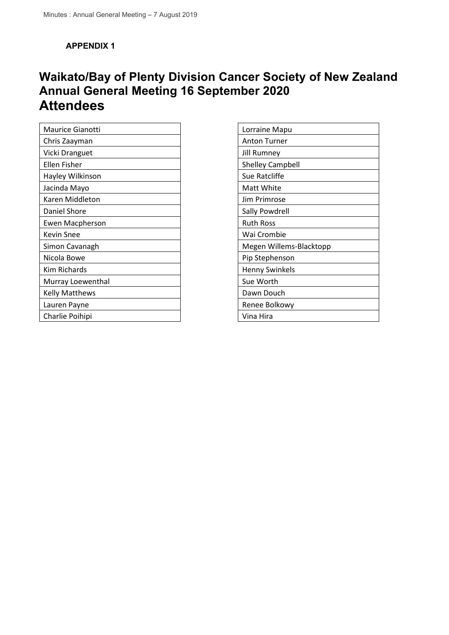**APPENDIX 1**

# **Waikato/Bay of Plenty Division Cancer Society of New Zealand Annual General Meeting 16 September 2020 Attendees**

| <b>Maurice Gianotti</b> |
|-------------------------|
| Chris Zaayman           |
| Vicki Dranguet          |
| Ellen Fisher            |
| Hayley Wilkinson        |
| Jacinda Mayo            |
| Karen Middleton         |
| Daniel Shore            |
| Ewen Macpherson         |
| Kevin Snee              |
| Simon Cavanagh          |
| Nicola Bowe             |
| Kim Richards            |
| Murray Loewenthal       |
| Kelly Matthews          |
| Lauren Payne            |
| Charlie Poihipi         |

| Lorraine Mapu           |
|-------------------------|
| Anton Turner            |
| <b>Jill Rumney</b>      |
| <b>Shelley Campbell</b> |
| Sue Ratcliffe           |
| Matt White              |
| Jim Primrose            |
| Sally Powdrell          |
| <b>Ruth Ross</b>        |
| Wai Crombie             |
| Megen Willems-Blacktopp |
| Pip Stephenson          |
| <b>Henny Swinkels</b>   |
| Sue Worth               |
| Dawn Douch              |
| Renee Bolkowy           |
| Vina Hira               |
|                         |